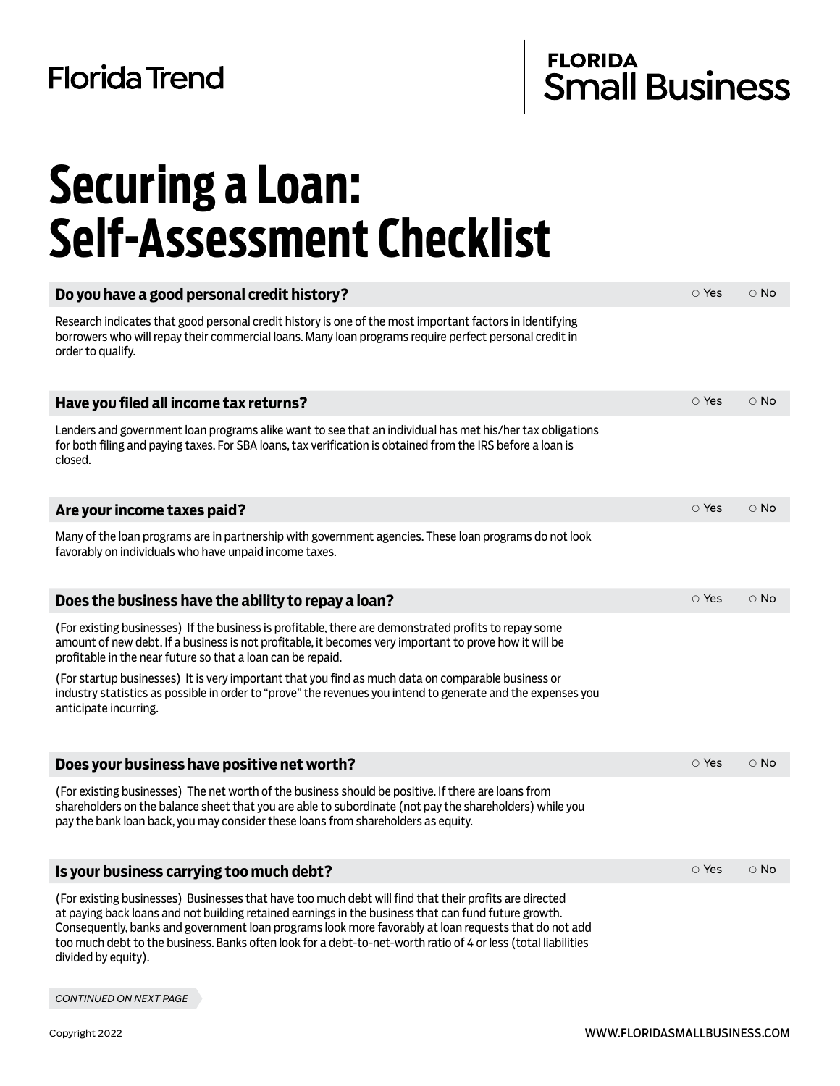### **Florida Trend**

# FLORIDA<br>Small Business

### **Securing a Loan: Self-Assessment Checklist**

| Do you have a good personal credit history?                                                                                                                                                                                                                                                                                                                                                                                                                     | $\circ$ Yes | $\circ$ No |
|-----------------------------------------------------------------------------------------------------------------------------------------------------------------------------------------------------------------------------------------------------------------------------------------------------------------------------------------------------------------------------------------------------------------------------------------------------------------|-------------|------------|
| Research indicates that good personal credit history is one of the most important factors in identifying<br>borrowers who will repay their commercial loans. Many loan programs require perfect personal credit in<br>order to qualify.                                                                                                                                                                                                                         |             |            |
| Have you filed all income tax returns?                                                                                                                                                                                                                                                                                                                                                                                                                          | $\circ$ Yes | $\circ$ No |
| Lenders and government loan programs alike want to see that an individual has met his/her tax obligations<br>for both filing and paying taxes. For SBA loans, tax verification is obtained from the IRS before a loan is<br>closed.                                                                                                                                                                                                                             |             |            |
| Are your income taxes paid?                                                                                                                                                                                                                                                                                                                                                                                                                                     | ○ Yes       | $\circ$ No |
| Many of the loan programs are in partnership with government agencies. These loan programs do not look<br>favorably on individuals who have unpaid income taxes.                                                                                                                                                                                                                                                                                                |             |            |
| Does the business have the ability to repay a loan?                                                                                                                                                                                                                                                                                                                                                                                                             | $\circ$ Yes | $\circ$ No |
| (For existing businesses) If the business is profitable, there are demonstrated profits to repay some<br>amount of new debt. If a business is not profitable, it becomes very important to prove how it will be<br>profitable in the near future so that a loan can be repaid.                                                                                                                                                                                  |             |            |
| (For startup businesses) It is very important that you find as much data on comparable business or<br>industry statistics as possible in order to "prove" the revenues you intend to generate and the expenses you<br>anticipate incurring.                                                                                                                                                                                                                     |             |            |
| Does your business have positive net worth?                                                                                                                                                                                                                                                                                                                                                                                                                     | ○ Yes       | $\circ$ No |
| (For existing businesses) The net worth of the business should be positive. If there are loans from<br>shareholders on the balance sheet that you are able to subordinate (not pay the shareholders) while you<br>pay the bank loan back, you may consider these loans from shareholders as equity.                                                                                                                                                             |             |            |
| Is your business carrying too much debt?                                                                                                                                                                                                                                                                                                                                                                                                                        | $\circ$ Yes | $\circ$ No |
| (For existing businesses) Businesses that have too much debt will find that their profits are directed<br>at paying back loans and not building retained earnings in the business that can fund future growth.<br>Consequently, banks and government loan programs look more favorably at loan requests that do not add<br>too much debt to the business. Banks often look for a debt-to-net-worth ratio of 4 or less (total liabilities<br>divided by equity). |             |            |